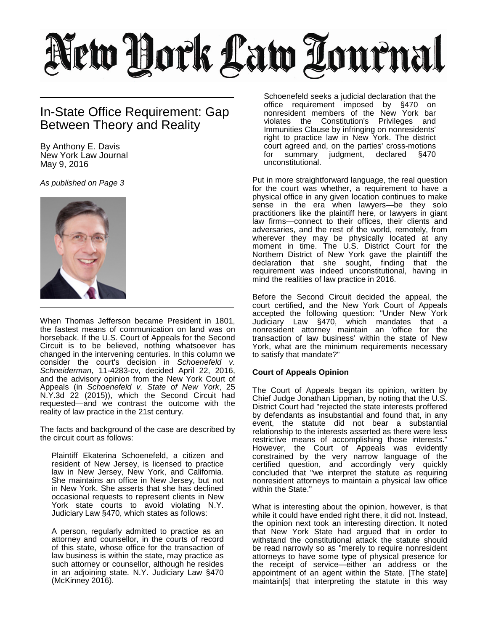## New York Law Tournal

## In-State Office Requirement: Gap Between Theory and Reality

By Anthony E. Davis New York Law Journal May 9, 2016

*As published on Page 3*



When Thomas Jefferson became President in 1801, the fastest means of communication on land was on horseback. If the U.S. Court of Appeals for the Second Circuit is to be believed, nothing whatsoever has changed in the intervening centuries. In this column we consider the court's decision in *Schoenefeld v. Schneiderman*, 11-4283-cv, decided April 22, 2016, and the advisory opinion from the New York Court of Appeals (in *Schoenefeld v. State of New York*, 25 N.Y.3d 22 (2015)), which the Second Circuit had requested—and we contrast the outcome with the reality of law practice in the 21st century.

The facts and background of the case are described by the circuit court as follows:

Plaintiff Ekaterina Schoenefeld, a citizen and resident of New Jersey, is licensed to practice law in New Jersey, New York, and California. She maintains an office in New Jersey, but not in New York. She asserts that she has declined occasional requests to represent clients in New York state courts to avoid violating N.Y. Judiciary Law §470, which states as follows:

A person, regularly admitted to practice as an attorney and counsellor, in the courts of record of this state, whose office for the transaction of law business is within the state, may practice as such attorney or counsellor, although he resides in an adjoining state. N.Y. Judiciary Law §470 (McKinney 2016).

Schoenefeld seeks a judicial declaration that the office requirement imposed by §470 on nonresident members of the New York bar violates the Constitution's Privileges and Immunities Clause by infringing on nonresidents' right to practice law in New York. The district court agreed and, on the parties' cross-motions<br>for summary judgment, declared §470 judgment, unconstitutional.

Put in more straightforward language, the real question for the court was whether, a requirement to have a physical office in any given location continues to make sense in the era when lawyers—be they solo practitioners like the plaintiff here, or lawyers in giant law firms—connect to their offices, their clients and adversaries, and the rest of the world, remotely, from wherever they may be physically located at any moment in time. The U.S. District Court for the Northern District of New York gave the plaintiff the declaration that she sought, finding that the requirement was indeed unconstitutional, having in mind the realities of law practice in 2016.

Before the Second Circuit decided the appeal, the court certified, and the New York Court of Appeals accepted the following question: "Under New York Judiciary Law §470, which mandates that a nonresident attorney maintain an 'office for the transaction of law business' within the state of New York, what are the minimum requirements necessary to satisfy that mandate?"

## **Court of Appeals Opinion**

The Court of Appeals began its opinion, written by Chief Judge Jonathan Lippman, by noting that the U.S. District Court had "rejected the state interests proffered by defendants as insubstantial and found that, in any event, the statute did not bear a substantial relationship to the interests asserted as there were less restrictive means of accomplishing those interests." However, the Court of Appeals was evidently constrained by the very narrow language of the certified question, and accordingly very quickly concluded that "we interpret the statute as requiring nonresident attorneys to maintain a physical law office within the State."

What is interesting about the opinion, however, is that while it could have ended right there, it did not. Instead, the opinion next took an interesting direction. It noted that New York State had argued that in order to withstand the constitutional attack the statute should be read narrowly so as "merely to require nonresident attorneys to have some type of physical presence for the receipt of service—either an address or the appointment of an agent within the State. [The state] maintain[s] that interpreting the statute in this way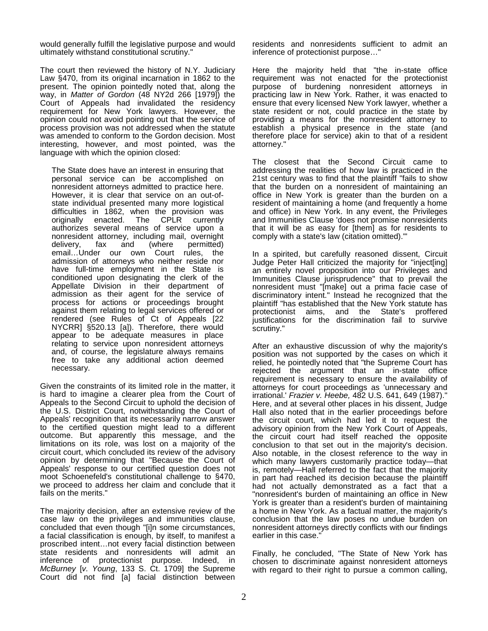would generally fulfill the legislative purpose and would ultimately withstand constitutional scrutiny."

The court then reviewed the history of N.Y. Judiciary Law §470, from its original incarnation in 1862 to the present. The opinion pointedly noted that, along the way, in *Matter of Gordon* (48 NY2d 266 [1979]) the Court of Appeals had invalidated the residency requirement for New York lawyers. However, the opinion could not avoid pointing out that the service of process provision was not addressed when the statute was amended to conform to the Gordon decision. Most interesting, however, and most pointed, was the language with which the opinion closed:

The State does have an interest in ensuring that personal service can be accomplished on nonresident attorneys admitted to practice here. However, it is clear that service on an out-ofstate individual presented many more logistical difficulties in 1862, when the provision was originally enacted. The CPLR currently authorizes several means of service upon a nonresident attorney, including mail, overnight delivery, fax and (where permitted) email…Under our own Court rules, the admission of attorneys who neither reside nor have full-time employment in the State is conditioned upon designating the clerk of the Appellate Division in their department of admission as their agent for the service of process for actions or proceedings brought against them relating to legal services offered or rendered (see Rules of Ct of Appeals [22 NYCRR] §520.13 [a]). Therefore, there would appear to be adequate measures in place relating to service upon nonresident attorneys and, of course, the legislature always remains free to take any additional action deemed necessary.

Given the constraints of its limited role in the matter, it is hard to imagine a clearer plea from the Court of Appeals to the Second Circuit to uphold the decision of the U.S. District Court, notwithstanding the Court of Appeals' recognition that its necessarily narrow answer to the certified question might lead to a different outcome. But apparently this message, and the limitations on its role, was lost on a majority of the circuit court, which concluded its review of the advisory opinion by determining that "Because the Court of Appeals' response to our certified question does not moot Schoenefeld's constitutional challenge to §470, we proceed to address her claim and conclude that it fails on the merits."

The majority decision, after an extensive review of the case law on the privileges and immunities clause, concluded that even though "[i]n some circumstances, a facial classification is enough, by itself, to manifest a proscribed intent…not every facial distinction between state residents and nonresidents will admit an inference of protectionist purpose. Indeed, in *McBurney* [*v. Young*, 133 S. Ct. 1709] the Supreme Court did not find [a] facial distinction between

residents and nonresidents sufficient to admit an inference of protectionist purpose…"

Here the majority held that "the in-state office requirement was not enacted for the protectionist purpose of burdening nonresident attorneys in practicing law in New York. Rather, it was enacted to ensure that every licensed New York lawyer, whether a state resident or not, could practice in the state by providing a means for the nonresident attorney to establish a physical presence in the state (and therefore place for service) akin to that of a resident attorney."

The closest that the Second Circuit came to addressing the realities of how law is practiced in the 21st century was to find that the plaintiff "fails to show that the burden on a nonresident of maintaining an office in New York is greater than the burden on a resident of maintaining a home (and frequently a home and office) in New York. In any event, the Privileges and Immunities Clause 'does not promise nonresidents that it will be as easy for [them] as for residents to comply with a state's law (citation omitted).'"

In a spirited, but carefully reasoned dissent, Circuit Judge Peter Hall criticized the majority for "inject[ing] an entirely novel proposition into our Privileges and Immunities Clause jurisprudence" that to prevail the nonresident must "[make] out a prima facie case of discriminatory intent." Instead he recognized that the plaintiff "has established that the New York statute has protectionist aims, and the State's proffered justifications for the discrimination fail to survive scrutiny."

After an exhaustive discussion of why the majority's position was not supported by the cases on which it relied, he pointedly noted that "the Supreme Court has rejected the argument that an in-state office requirement is necessary to ensure the availability of attorneys for court proceedings as 'unnecessary and irrational.' *Frazier v. Heebe,* 482 U.S. 641, 649 (1987)." Here, and at several other places in his dissent, Judge Hall also noted that in the earlier proceedings before the circuit court, which had led it to request the advisory opinion from the New York Court of Appeals, the circuit court had itself reached the opposite conclusion to that set out in the majority's decision. Also notable, in the closest reference to the way in which many lawyers customarily practice today—that is, remotely—Hall referred to the fact that the majority in part had reached its decision because the plaintiff had not actually demonstrated as a fact that a "nonresident's burden of maintaining an office in New York is greater than a resident's burden of maintaining a home in New York. As a factual matter, the majority's conclusion that the law poses no undue burden on nonresident attorneys directly conflicts with our findings earlier in this case."

Finally, he concluded, "The State of New York has chosen to discriminate against nonresident attorneys with regard to their right to pursue a common calling,